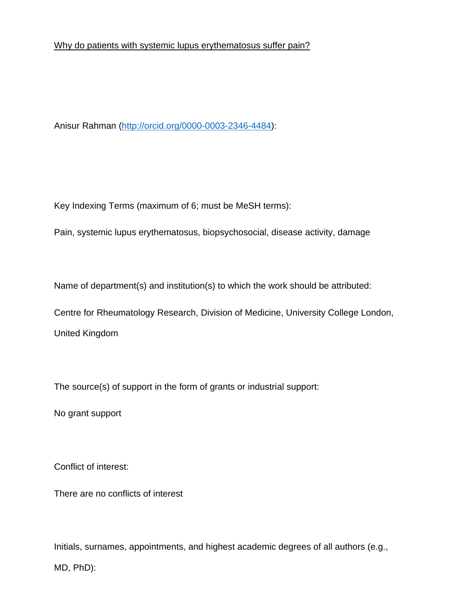Why do patients with systemic lupus erythematosus suffer pain?

Anisur Rahman (http://orcid.org/0000-0003-2346-4484):

Key Indexing Terms (maximum of 6; must be MeSH terms):

Pain, systemic lupus erythematosus, biopsychosocial, disease activity, damage

Name of department(s) and institution(s) to which the work should be attributed:

Centre for Rheumatology Research, Division of Medicine, University College London, United Kingdom

The source(s) of support in the form of grants or industrial support:

No grant support

Conflict of interest:

There are no conflicts of interest

Initials, surnames, appointments, and highest academic degrees of all authors (e.g., MD, PhD):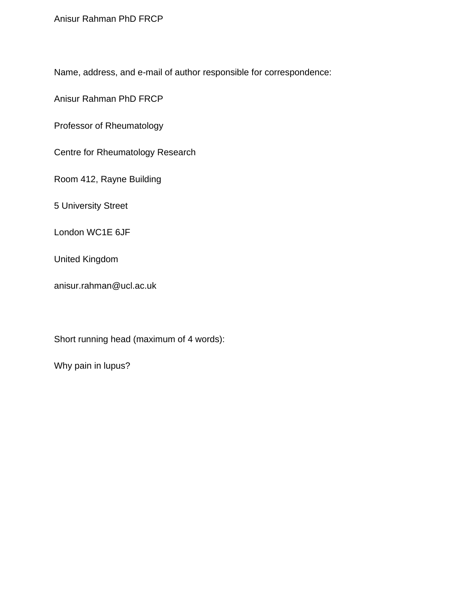Anisur Rahman PhD FRCP

Name, address, and e-mail of author responsible for correspondence:

Anisur Rahman PhD FRCP

Professor of Rheumatology

Centre for Rheumatology Research

Room 412, Rayne Building

5 University Street

London WC1E 6JF

United Kingdom

anisur.rahman@ucl.ac.uk

Short running head (maximum of 4 words):

Why pain in lupus?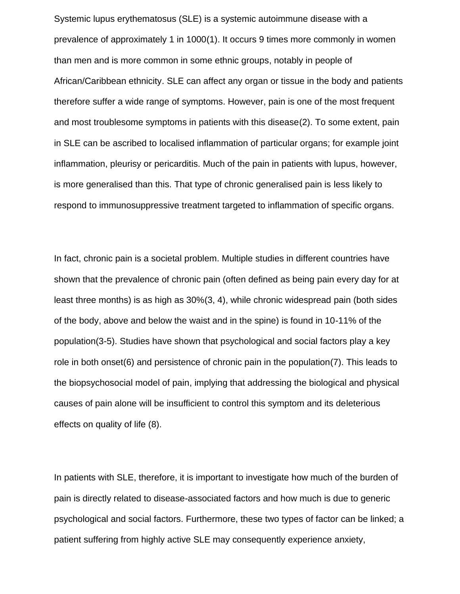Systemic lupus erythematosus (SLE) is a systemic autoimmune disease with a prevalence of approximately 1 in 1000(1). It occurs 9 times more commonly in women than men and is more common in some ethnic groups, notably in people of African/Caribbean ethnicity. SLE can affect any organ or tissue in the body and patients therefore suffer a wide range of symptoms. However, pain is one of the most frequent and most troublesome symptoms in patients with this disease(2). To some extent, pain in SLE can be ascribed to localised inflammation of particular organs; for example joint inflammation, pleurisy or pericarditis. Much of the pain in patients with lupus, however, is more generalised than this. That type of chronic generalised pain is less likely to respond to immunosuppressive treatment targeted to inflammation of specific organs.

In fact, chronic pain is a societal problem. Multiple studies in different countries have shown that the prevalence of chronic pain (often defined as being pain every day for at least three months) is as high as 30%(3, 4), while chronic widespread pain (both sides of the body, above and below the waist and in the spine) is found in 10-11% of the population(3-5). Studies have shown that psychological and social factors play a key role in both onset(6) and persistence of chronic pain in the population(7). This leads to the biopsychosocial model of pain, implying that addressing the biological and physical causes of pain alone will be insufficient to control this symptom and its deleterious effects on quality of life (8).

In patients with SLE, therefore, it is important to investigate how much of the burden of pain is directly related to disease-associated factors and how much is due to generic psychological and social factors. Furthermore, these two types of factor can be linked; a patient suffering from highly active SLE may consequently experience anxiety,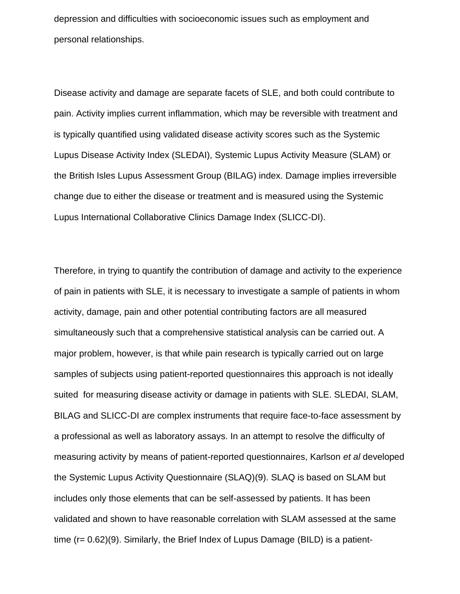depression and difficulties with socioeconomic issues such as employment and personal relationships.

Disease activity and damage are separate facets of SLE, and both could contribute to pain. Activity implies current inflammation, which may be reversible with treatment and is typically quantified using validated disease activity scores such as the Systemic Lupus Disease Activity Index (SLEDAI), Systemic Lupus Activity Measure (SLAM) or the British Isles Lupus Assessment Group (BILAG) index. Damage implies irreversible change due to either the disease or treatment and is measured using the Systemic Lupus International Collaborative Clinics Damage Index (SLICC-DI).

Therefore, in trying to quantify the contribution of damage and activity to the experience of pain in patients with SLE, it is necessary to investigate a sample of patients in whom activity, damage, pain and other potential contributing factors are all measured simultaneously such that a comprehensive statistical analysis can be carried out. A major problem, however, is that while pain research is typically carried out on large samples of subjects using patient-reported questionnaires this approach is not ideally suited for measuring disease activity or damage in patients with SLE. SLEDAI, SLAM, BILAG and SLICC-DI are complex instruments that require face-to-face assessment by a professional as well as laboratory assays. In an attempt to resolve the difficulty of measuring activity by means of patient-reported questionnaires, Karlson *et al* developed the Systemic Lupus Activity Questionnaire (SLAQ)(9). SLAQ is based on SLAM but includes only those elements that can be self-assessed by patients. It has been validated and shown to have reasonable correlation with SLAM assessed at the same time (r= 0.62)(9). Similarly, the Brief Index of Lupus Damage (BILD) is a patient-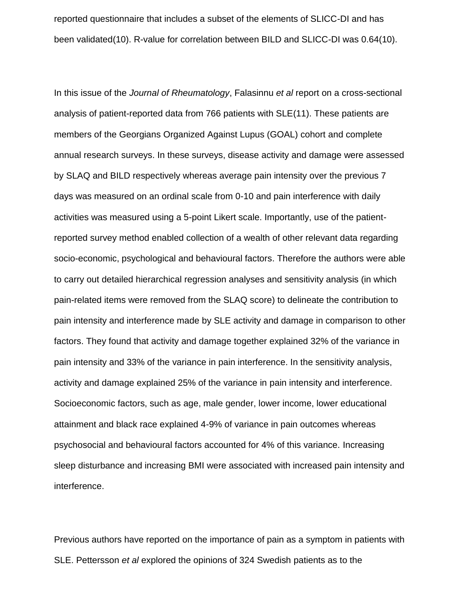reported questionnaire that includes a subset of the elements of SLICC-DI and has been validated(10). R-value for correlation between BILD and SLICC-DI was 0.64(10).

In this issue of the *Journal of Rheumatology*, Falasinnu *et al* report on a cross-sectional analysis of patient-reported data from 766 patients with SLE(11). These patients are members of the Georgians Organized Against Lupus (GOAL) cohort and complete annual research surveys. In these surveys, disease activity and damage were assessed by SLAQ and BILD respectively whereas average pain intensity over the previous 7 days was measured on an ordinal scale from 0-10 and pain interference with daily activities was measured using a 5-point Likert scale. Importantly, use of the patientreported survey method enabled collection of a wealth of other relevant data regarding socio-economic, psychological and behavioural factors. Therefore the authors were able to carry out detailed hierarchical regression analyses and sensitivity analysis (in which pain-related items were removed from the SLAQ score) to delineate the contribution to pain intensity and interference made by SLE activity and damage in comparison to other factors. They found that activity and damage together explained 32% of the variance in pain intensity and 33% of the variance in pain interference. In the sensitivity analysis, activity and damage explained 25% of the variance in pain intensity and interference. Socioeconomic factors, such as age, male gender, lower income, lower educational attainment and black race explained 4-9% of variance in pain outcomes whereas psychosocial and behavioural factors accounted for 4% of this variance. Increasing sleep disturbance and increasing BMI were associated with increased pain intensity and interference.

Previous authors have reported on the importance of pain as a symptom in patients with SLE. Pettersson *et al* explored the opinions of 324 Swedish patients as to the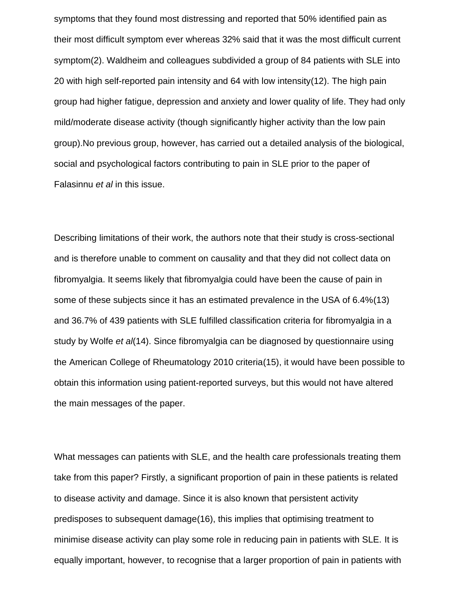symptoms that they found most distressing and reported that 50% identified pain as their most difficult symptom ever whereas 32% said that it was the most difficult current symptom(2). Waldheim and colleagues subdivided a group of 84 patients with SLE into 20 with high self-reported pain intensity and 64 with low intensity(12). The high pain group had higher fatigue, depression and anxiety and lower quality of life. They had only mild/moderate disease activity (though significantly higher activity than the low pain group).No previous group, however, has carried out a detailed analysis of the biological, social and psychological factors contributing to pain in SLE prior to the paper of Falasinnu *et al* in this issue.

Describing limitations of their work, the authors note that their study is cross-sectional and is therefore unable to comment on causality and that they did not collect data on fibromyalgia. It seems likely that fibromyalgia could have been the cause of pain in some of these subjects since it has an estimated prevalence in the USA of 6.4%(13) and 36.7% of 439 patients with SLE fulfilled classification criteria for fibromyalgia in a study by Wolfe *et al*(14). Since fibromyalgia can be diagnosed by questionnaire using the American College of Rheumatology 2010 criteria(15), it would have been possible to obtain this information using patient-reported surveys, but this would not have altered the main messages of the paper.

What messages can patients with SLE, and the health care professionals treating them take from this paper? Firstly, a significant proportion of pain in these patients is related to disease activity and damage. Since it is also known that persistent activity predisposes to subsequent damage(16), this implies that optimising treatment to minimise disease activity can play some role in reducing pain in patients with SLE. It is equally important, however, to recognise that a larger proportion of pain in patients with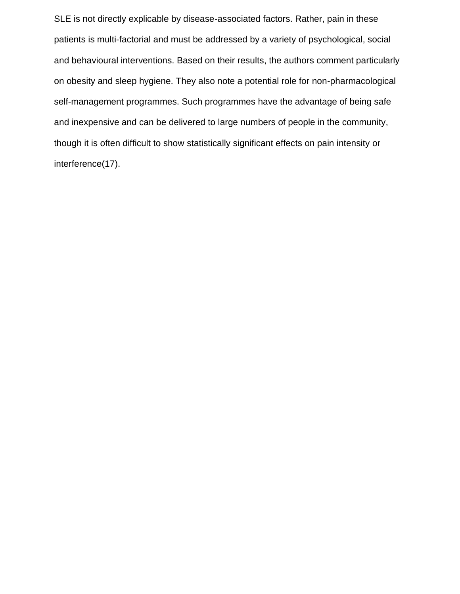SLE is not directly explicable by disease-associated factors. Rather, pain in these patients is multi-factorial and must be addressed by a variety of psychological, social and behavioural interventions. Based on their results, the authors comment particularly on obesity and sleep hygiene. They also note a potential role for non-pharmacological self-management programmes. Such programmes have the advantage of being safe and inexpensive and can be delivered to large numbers of people in the community, though it is often difficult to show statistically significant effects on pain intensity or interference(17).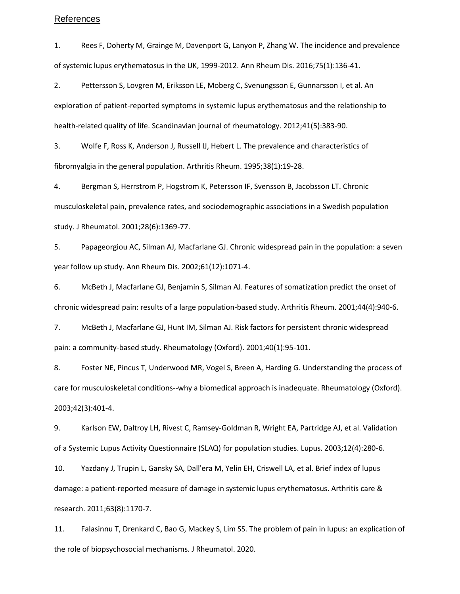## References

1. Rees F, Doherty M, Grainge M, Davenport G, Lanyon P, Zhang W. The incidence and prevalence of systemic lupus erythematosus in the UK, 1999-2012. Ann Rheum Dis. 2016;75(1):136-41.

2. Pettersson S, Lovgren M, Eriksson LE, Moberg C, Svenungsson E, Gunnarsson I, et al. An exploration of patient-reported symptoms in systemic lupus erythematosus and the relationship to health-related quality of life. Scandinavian journal of rheumatology. 2012;41(5):383-90.

3. Wolfe F, Ross K, Anderson J, Russell IJ, Hebert L. The prevalence and characteristics of fibromyalgia in the general population. Arthritis Rheum. 1995;38(1):19-28.

4. Bergman S, Herrstrom P, Hogstrom K, Petersson IF, Svensson B, Jacobsson LT. Chronic musculoskeletal pain, prevalence rates, and sociodemographic associations in a Swedish population study. J Rheumatol. 2001;28(6):1369-77.

5. Papageorgiou AC, Silman AJ, Macfarlane GJ. Chronic widespread pain in the population: a seven year follow up study. Ann Rheum Dis. 2002;61(12):1071-4.

6. McBeth J, Macfarlane GJ, Benjamin S, Silman AJ. Features of somatization predict the onset of chronic widespread pain: results of a large population-based study. Arthritis Rheum. 2001;44(4):940-6.

7. McBeth J, Macfarlane GJ, Hunt IM, Silman AJ. Risk factors for persistent chronic widespread pain: a community-based study. Rheumatology (Oxford). 2001;40(1):95-101.

8. Foster NE, Pincus T, Underwood MR, Vogel S, Breen A, Harding G. Understanding the process of care for musculoskeletal conditions--why a biomedical approach is inadequate. Rheumatology (Oxford). 2003;42(3):401-4.

9. Karlson EW, Daltroy LH, Rivest C, Ramsey-Goldman R, Wright EA, Partridge AJ, et al. Validation of a Systemic Lupus Activity Questionnaire (SLAQ) for population studies. Lupus. 2003;12(4):280-6.

10. Yazdany J, Trupin L, Gansky SA, Dall'era M, Yelin EH, Criswell LA, et al. Brief index of lupus damage: a patient-reported measure of damage in systemic lupus erythematosus. Arthritis care & research. 2011;63(8):1170-7.

11. Falasinnu T, Drenkard C, Bao G, Mackey S, Lim SS. The problem of pain in lupus: an explication of the role of biopsychosocial mechanisms. J Rheumatol. 2020.